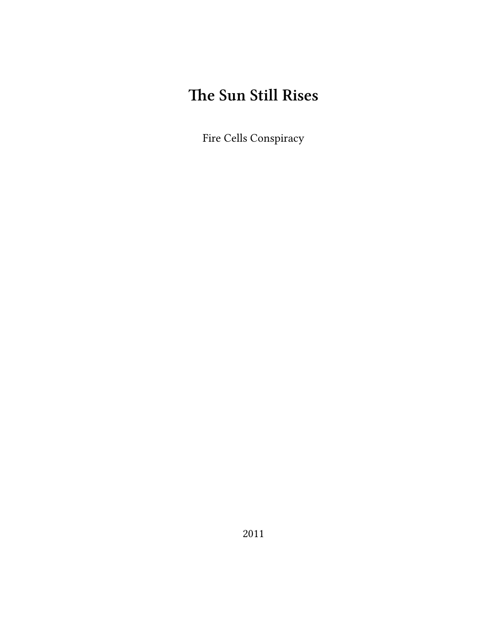# **The Sun Still Rises**

Fire Cells Conspiracy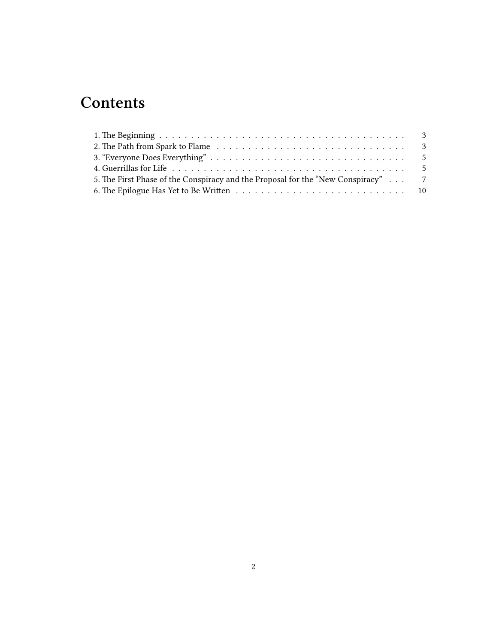## **Contents**

| 5. The First Phase of the Conspiracy and the Proposal for the "New Conspiracy" 7 |  |
|----------------------------------------------------------------------------------|--|
|                                                                                  |  |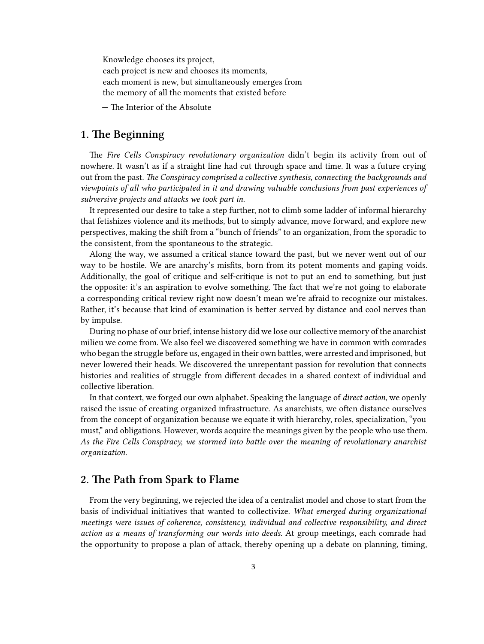Knowledge chooses its project, each project is new and chooses its moments, each moment is new, but simultaneously emerges from the memory of all the moments that existed before

— The Interior of the Absolute

#### <span id="page-2-0"></span>**1. The Beginning**

The *Fire Cells Conspiracy revolutionary organization* didn't begin its activity from out of nowhere. It wasn't as if a straight line had cut through space and time. It was a future crying out from the past. *The Conspiracy comprised a collective synthesis, connecting the backgrounds and viewpoints of all who participated in it and drawing valuable conclusions from past experiences of subversive projects and attacks we took part in.*

It represented our desire to take a step further, not to climb some ladder of informal hierarchy that fetishizes violence and its methods, but to simply advance, move forward, and explore new perspectives, making the shift from a "bunch of friends" to an organization, from the sporadic to the consistent, from the spontaneous to the strategic.

Along the way, we assumed a critical stance toward the past, but we never went out of our way to be hostile. We are anarchy's misfits, born from its potent moments and gaping voids. Additionally, the goal of critique and self-critique is not to put an end to something, but just the opposite: it's an aspiration to evolve something. The fact that we're not going to elaborate a corresponding critical review right now doesn't mean we're afraid to recognize our mistakes. Rather, it's because that kind of examination is better served by distance and cool nerves than by impulse.

During no phase of our brief, intense history did we lose our collective memory of the anarchist milieu we come from. We also feel we discovered something we have in common with comrades who began the struggle before us, engaged in their own battles, were arrested and imprisoned, but never lowered their heads. We discovered the unrepentant passion for revolution that connects histories and realities of struggle from different decades in a shared context of individual and collective liberation.

In that context, we forged our own alphabet. Speaking the language of *direct action*, we openly raised the issue of creating organized infrastructure. As anarchists, we often distance ourselves from the concept of organization because we equate it with hierarchy, roles, specialization, "you must," and obligations. However, words acquire the meanings given by the people who use them. *As the Fire Cells Conspiracy, we stormed into battle over the meaning of revolutionary anarchist organization.*

## <span id="page-2-1"></span>**2. The Path from Spark to Flame**

From the very beginning, we rejected the idea of a centralist model and chose to start from the basis of individual initiatives that wanted to collectivize. *What emerged during organizational meetings were issues of coherence, consistency, individual and collective responsibility, and direct action as a means of transforming our words into deeds.* At group meetings, each comrade had the opportunity to propose a plan of attack, thereby opening up a debate on planning, timing,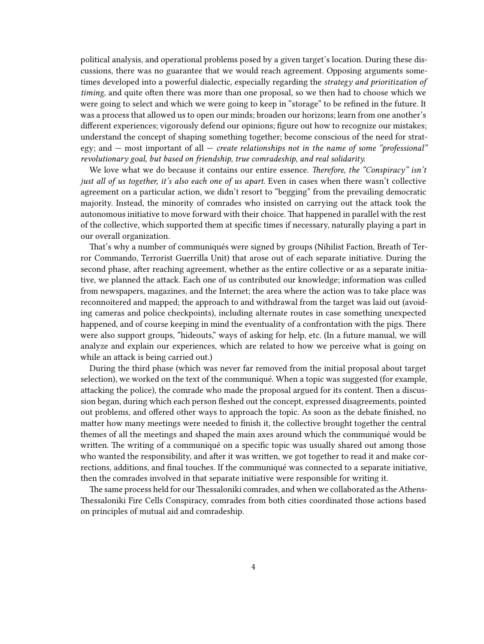political analysis, and operational problems posed by a given target's location. During these discussions, there was no guarantee that we would reach agreement. Opposing arguments sometimes developed into a powerful dialectic, especially regarding the *strategy and prioritization of timing,* and quite often there was more than one proposal, so we then had to choose which we were going to select and which we were going to keep in "storage" to be refined in the future. It was a process that allowed us to open our minds; broaden our horizons; learn from one another's different experiences; vigorously defend our opinions; figure out how to recognize our mistakes; understand the concept of shaping something together; become conscious of the need for strategy; and — most important of all — *create relationships not in the name of some "professional" revolutionary goal, but based on friendship, true comradeship, and real solidarity.*

We love what we do because it contains our entire essence. *Therefore, the "Conspiracy" isn't just all of us together, it's also each one of us apart.* Even in cases when there wasn't collective agreement on a particular action, we didn't resort to "begging" from the prevailing democratic majority. Instead, the minority of comrades who insisted on carrying out the attack took the autonomous initiative to move forward with their choice. That happened in parallel with the rest of the collective, which supported them at specific times if necessary, naturally playing a part in our overall organization.

That's why a number of communiqués were signed by groups (Nihilist Faction, Breath of Terror Commando, Terrorist Guerrilla Unit) that arose out of each separate initiative. During the second phase, after reaching agreement, whether as the entire collective or as a separate initiative, we planned the attack. Each one of us contributed our knowledge; information was culled from newspapers, magazines, and the Internet; the area where the action was to take place was reconnoitered and mapped; the approach to and withdrawal from the target was laid out (avoiding cameras and police checkpoints), including alternate routes in case something unexpected happened, and of course keeping in mind the eventuality of a confrontation with the pigs. There were also support groups, "hideouts," ways of asking for help, etc. (In a future manual, we will analyze and explain our experiences, which are related to how we perceive what is going on while an attack is being carried out.)

During the third phase (which was never far removed from the initial proposal about target selection), we worked on the text of the communiqué. When a topic was suggested (for example, attacking the police), the comrade who made the proposal argued for its content. Then a discussion began, during which each person fleshed out the concept, expressed disagreements, pointed out problems, and offered other ways to approach the topic. As soon as the debate finished, no matter how many meetings were needed to finish it, the collective brought together the central themes of all the meetings and shaped the main axes around which the communiqué would be written. The writing of a communiqué on a specific topic was usually shared out among those who wanted the responsibility, and after it was written, we got together to read it and make corrections, additions, and final touches. If the communiqué was connected to a separate initiative, then the comrades involved in that separate initiative were responsible for writing it.

The same process held for our Thessaloniki comrades, and when we collaborated as the Athens-Thessaloniki Fire Cells Conspiracy, comrades from both cities coordinated those actions based on principles of mutual aid and comradeship.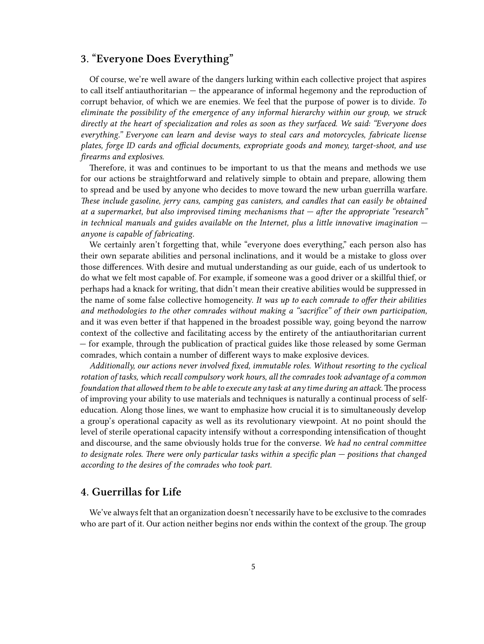## <span id="page-4-0"></span>**3. "Everyone Does Everything"**

Of course, we're well aware of the dangers lurking within each collective project that aspires to call itself antiauthoritarian — the appearance of informal hegemony and the reproduction of corrupt behavior, of which we are enemies. We feel that the purpose of power is to divide. *To eliminate the possibility of the emergence of any informal hierarchy within our group, we struck directly at the heart of specialization and roles as soon as they surfaced. We said: "Everyone does everything." Everyone can learn and devise ways to steal cars and motorcycles, fabricate license plates, forge ID cards and official documents, expropriate goods and money, target-shoot, and use firearms and explosives.*

Therefore, it was and continues to be important to us that the means and methods we use for our actions be straightforward and relatively simple to obtain and prepare, allowing them to spread and be used by anyone who decides to move toward the new urban guerrilla warfare. *These include gasoline, jerry cans, camping gas canisters, and candles that can easily be obtained at a supermarket, but also improvised timing mechanisms that — after the appropriate "research" in technical manuals and guides available on the Internet, plus a little innovative imagination anyone is capable of fabricating.*

We certainly aren't forgetting that, while "everyone does everything," each person also has their own separate abilities and personal inclinations, and it would be a mistake to gloss over those differences. With desire and mutual understanding as our guide, each of us undertook to do what we felt most capable of. For example, if someone was a good driver or a skillful thief, or perhaps had a knack for writing, that didn't mean their creative abilities would be suppressed in the name of some false collective homogeneity. *It was up to each comrade to offer their abilities and methodologies to the other comrades without making a "sacrifice" of their own participation,* and it was even better if that happened in the broadest possible way, going beyond the narrow context of the collective and facilitating access by the entirety of the antiauthoritarian current — for example, through the publication of practical guides like those released by some German comrades, which contain a number of different ways to make explosive devices.

*Additionally, our actions never involved fixed, immutable roles. Without resorting to the cyclical rotation of tasks, which recall compulsory work hours, all the comrades took advantage of a common foundation that allowed them to be able to execute any task at any time during an attack.*The process of improving your ability to use materials and techniques is naturally a continual process of selfeducation. Along those lines, we want to emphasize how crucial it is to simultaneously develop a group's operational capacity as well as its revolutionary viewpoint. At no point should the level of sterile operational capacity intensify without a corresponding intensification of thought and discourse, and the same obviously holds true for the converse. *We had no central committee to designate roles. There were only particular tasks within a specific plan — positions that changed according to the desires of the comrades who took part.*

#### <span id="page-4-1"></span>**4. Guerrillas for Life**

We've always felt that an organization doesn't necessarily have to be exclusive to the comrades who are part of it. Our action neither begins nor ends within the context of the group. The group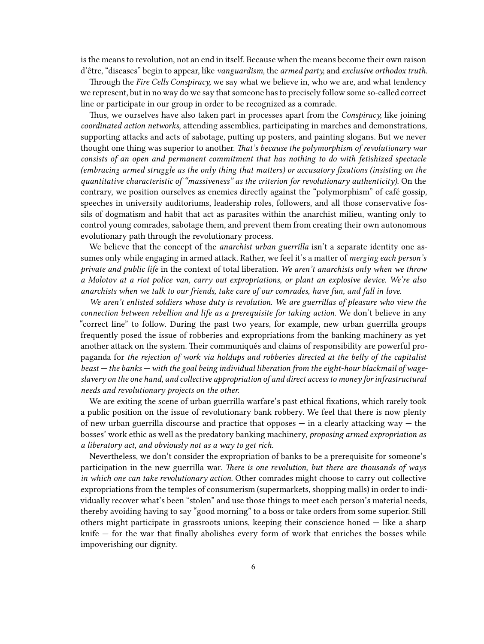is the means to revolution, not an end in itself. Because when the means become their own raison d'être, "diseases" begin to appear, like *vanguardism,* the *armed party,* and *exclusive orthodox truth.*

Through the *Fire Cells Conspiracy,* we say what we believe in, who we are, and what tendency we represent, but in no way do we say that someone has to precisely follow some so-called correct line or participate in our group in order to be recognized as a comrade.

Thus, we ourselves have also taken part in processes apart from the *Conspiracy,* like joining *coordinated action networks,* attending assemblies, participating in marches and demonstrations, supporting attacks and acts of sabotage, putting up posters, and painting slogans. But we never thought one thing was superior to another. *That's because the polymorphism of revolutionary war consists of an open and permanent commitment that has nothing to do with fetishized spectacle (embracing armed struggle as the only thing that matters) or accusatory fixations (insisting on the quantitative characteristic of "massiveness" as the criterion for revolutionary authenticity).* On the contrary, we position ourselves as enemies directly against the "polymorphism" of café gossip, speeches in university auditoriums, leadership roles, followers, and all those conservative fossils of dogmatism and habit that act as parasites within the anarchist milieu, wanting only to control young comrades, sabotage them, and prevent them from creating their own autonomous evolutionary path through the revolutionary process.

We believe that the concept of the *anarchist urban guerrilla* isn't a separate identity one assumes only while engaging in armed attack. Rather, we feel it's a matter of *merging each person's private and public life* in the context of total liberation. *We aren't anarchists only when we throw a Molotov at a riot police van, carry out expropriations, or plant an explosive device. We're also anarchists when we talk to our friends, take care of our comrades, have fun, and fall in love.*

*We aren't enlisted soldiers whose duty is revolution. We are guerrillas of pleasure who view the connection between rebellion and life as a prerequisite for taking action.* We don't believe in any "correct line" to follow. During the past two years, for example, new urban guerrilla groups frequently posed the issue of robberies and expropriations from the banking machinery as yet another attack on the system. Their communiqués and claims of responsibility are powerful propaganda for *the rejection of work via holdups and robberies directed at the belly of the capitalist beast — the banks — with the goal being individual liberation from the eight-hour blackmail of wageslavery on the one hand, and collective appropriation of and direct access to money for infrastructural needs and revolutionary projects on the other.*

We are exiting the scene of urban guerrilla warfare's past ethical fixations, which rarely took a public position on the issue of revolutionary bank robbery. We feel that there is now plenty of new urban guerrilla discourse and practice that opposes  $-$  in a clearly attacking way  $-$  the bosses' work ethic as well as the predatory banking machinery, *proposing armed expropriation as a liberatory act, and obviously not as a way to get rich.*

Nevertheless, we don't consider the expropriation of banks to be a prerequisite for someone's participation in the new guerrilla war. *There is one revolution, but there are thousands of ways in which one can take revolutionary action.* Other comrades might choose to carry out collective expropriations from the temples of consumerism (supermarkets, shopping malls) in order to individually recover what's been "stolen" and use those things to meet each person's material needs, thereby avoiding having to say "good morning" to a boss or take orders from some superior. Still others might participate in grassroots unions, keeping their conscience honed — like a sharp knife — for the war that finally abolishes every form of work that enriches the bosses while impoverishing our dignity.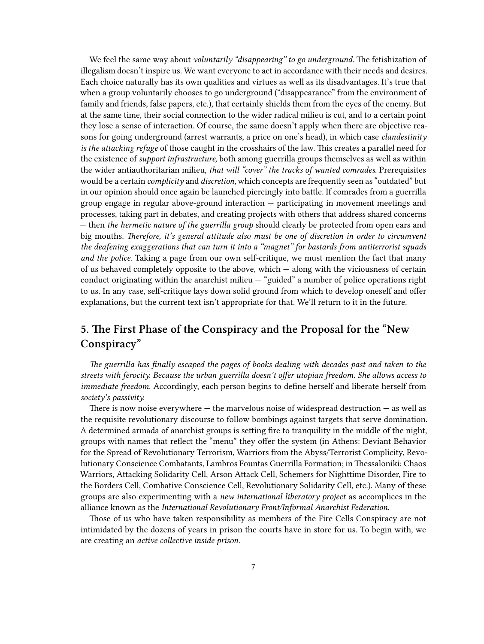We feel the same way about *voluntarily "disappearing" to go underground.* The fetishization of illegalism doesn't inspire us. We want everyone to act in accordance with their needs and desires. Each choice naturally has its own qualities and virtues as well as its disadvantages. It's true that when a group voluntarily chooses to go underground ("disappearance" from the environment of family and friends, false papers, etc.), that certainly shields them from the eyes of the enemy. But at the same time, their social connection to the wider radical milieu is cut, and to a certain point they lose a sense of interaction. Of course, the same doesn't apply when there are objective reasons for going underground (arrest warrants, a price on one's head), in which case *clandestinity is the attacking refuge* of those caught in the crosshairs of the law. This creates a parallel need for the existence of *support infrastructure,* both among guerrilla groups themselves as well as within the wider antiauthoritarian milieu, *that will "cover" the tracks of wanted comrades.* Prerequisites would be a certain *complicity* and *discretion,* which concepts are frequently seen as "outdated" but in our opinion should once again be launched piercingly into battle. If comrades from a guerrilla group engage in regular above-ground interaction — participating in movement meetings and processes, taking part in debates, and creating projects with others that address shared concerns — then *the hermetic nature of the guerrilla group* should clearly be protected from open ears and big mouths. *Therefore, it's general attitude also must be one of discretion in order to circumvent the deafening exaggerations that can turn it into a "magnet" for bastards from antiterrorist squads and the police.* Taking a page from our own self-critique, we must mention the fact that many of us behaved completely opposite to the above, which — along with the viciousness of certain conduct originating within the anarchist milieu — "guided" a number of police operations right to us. In any case, self-critique lays down solid ground from which to develop oneself and offer explanations, but the current text isn't appropriate for that. We'll return to it in the future.

## <span id="page-6-0"></span>**5. The First Phase of the Conspiracy and the Proposal for the "New Conspiracy"**

*The guerrilla has finally escaped the pages of books dealing with decades past and taken to the streets with ferocity. Because the urban guerrilla doesn't offer utopian freedom. She allows access to immediate freedom.* Accordingly, each person begins to define herself and liberate herself from *society's passivity.*

There is now noise everywhere  $-$  the marvelous noise of widespread destruction  $-$  as well as the requisite revolutionary discourse to follow bombings against targets that serve domination. A determined armada of anarchist groups is setting fire to tranquility in the middle of the night, groups with names that reflect the "menu" they offer the system (in Athens: Deviant Behavior for the Spread of Revolutionary Terrorism, Warriors from the Abyss/Terrorist Complicity, Revolutionary Conscience Combatants, Lambros Fountas Guerrilla Formation; in Thessaloniki: Chaos Warriors, Attacking Solidarity Cell, Arson Attack Cell, Schemers for Nighttime Disorder, Fire to the Borders Cell, Combative Conscience Cell, Revolutionary Solidarity Cell, etc.). Many of these groups are also experimenting with a *new international liberatory project* as accomplices in the alliance known as the *International Revolutionary Front/Informal Anarchist Federation.*

Those of us who have taken responsibility as members of the Fire Cells Conspiracy are not intimidated by the dozens of years in prison the courts have in store for us. To begin with, we are creating an *active collective inside prison.*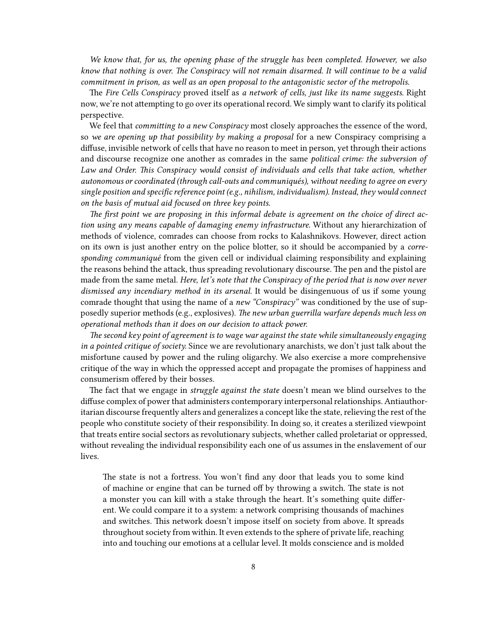*We know that, for us, the opening phase of the struggle has been completed. However, we also know that nothing is over. The Conspiracy will not remain disarmed. It will continue to be a valid commitment in prison, as well as an open proposal to the antagonistic sector of the metropolis.*

The *Fire Cells Conspiracy* proved itself as *a network of cells, just like its name suggests.* Right now, we're not attempting to go over its operational record. We simply want to clarify its political perspective.

We feel that *committing to a new Conspiracy* most closely approaches the essence of the word, so *we are opening up that possibility by making a proposal* for a new Conspiracy comprising a diffuse, invisible network of cells that have no reason to meet in person, yet through their actions and discourse recognize one another as comrades in the same *political crime: the subversion of Law and Order. This Conspiracy would consist of individuals and cells that take action, whether autonomous or coordinated (through call-outs and communiqués), without needing to agree on every single position and specific reference point (e.g., nihilism, individualism). Instead, they would connect on the basis of mutual aid focused on three key points.*

*The first point we are proposing in this informal debate is agreement on the choice of direct action using any means capable of damaging enemy infrastructure.* Without any hierarchization of methods of violence, comrades can choose from rocks to Kalashnikovs. However, direct action on its own is just another entry on the police blotter, so it should be accompanied by a *corresponding communiqué* from the given cell or individual claiming responsibility and explaining the reasons behind the attack, thus spreading revolutionary discourse. The pen and the pistol are made from the same metal. *Here, let's note that the Conspiracy of the period that is now over never dismissed any incendiary method in its arsenal.* It would be disingenuous of us if some young comrade thought that using the name of a *new "Conspiracy"* was conditioned by the use of supposedly superior methods (e.g., explosives). *The new urban guerrilla warfare depends much less on operational methods than it does on our decision to attack power.*

*The second key point of agreement is to wage war against the state while simultaneously engaging in a pointed critique of society.* Since we are revolutionary anarchists, we don't just talk about the misfortune caused by power and the ruling oligarchy. We also exercise a more comprehensive critique of the way in which the oppressed accept and propagate the promises of happiness and consumerism offered by their bosses.

The fact that we engage in *struggle against the state* doesn't mean we blind ourselves to the diffuse complex of power that administers contemporary interpersonal relationships. Antiauthoritarian discourse frequently alters and generalizes a concept like the state, relieving the rest of the people who constitute society of their responsibility. In doing so, it creates a sterilized viewpoint that treats entire social sectors as revolutionary subjects, whether called proletariat or oppressed, without revealing the individual responsibility each one of us assumes in the enslavement of our lives.

The state is not a fortress. You won't find any door that leads you to some kind of machine or engine that can be turned off by throwing a switch. The state is not a monster you can kill with a stake through the heart. It's something quite different. We could compare it to a system: a network comprising thousands of machines and switches. This network doesn't impose itself on society from above. It spreads throughout society from within. It even extends to the sphere of private life, reaching into and touching our emotions at a cellular level. It molds conscience and is molded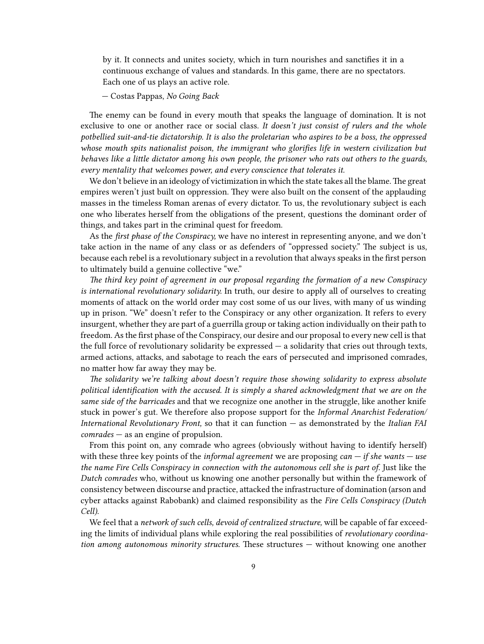by it. It connects and unites society, which in turn nourishes and sanctifies it in a continuous exchange of values and standards. In this game, there are no spectators. Each one of us plays an active role.

— Costas Pappas, *No Going Back*

The enemy can be found in every mouth that speaks the language of domination. It is not exclusive to one or another race or social class. *It doesn't just consist of rulers and the whole potbellied suit-and-tie dictatorship. It is also the proletarian who aspires to be a boss, the oppressed whose mouth spits nationalist poison, the immigrant who glorifies life in western civilization but behaves like a little dictator among his own people, the prisoner who rats out others to the guards, every mentality that welcomes power, and every conscience that tolerates it.*

We don't believe in an ideology of victimization in which the state takes all the blame. The great empires weren't just built on oppression. They were also built on the consent of the applauding masses in the timeless Roman arenas of every dictator. To us, the revolutionary subject is each one who liberates herself from the obligations of the present, questions the dominant order of things, and takes part in the criminal quest for freedom.

As the *first phase of the Conspiracy,* we have no interest in representing anyone, and we don't take action in the name of any class or as defenders of "oppressed society." The subject is us, because each rebel is a revolutionary subject in a revolution that always speaks in the first person to ultimately build a genuine collective "we."

*The third key point of agreement in our proposal regarding the formation of a new Conspiracy is international revolutionary solidarity.* In truth, our desire to apply all of ourselves to creating moments of attack on the world order may cost some of us our lives, with many of us winding up in prison. "We" doesn't refer to the Conspiracy or any other organization. It refers to every insurgent, whether they are part of a guerrilla group or taking action individually on their path to freedom. As the first phase of the Conspiracy, our desire and our proposal to every new cell is that the full force of revolutionary solidarity be expressed  $-$  a solidarity that cries out through texts, armed actions, attacks, and sabotage to reach the ears of persecuted and imprisoned comrades, no matter how far away they may be.

*The solidarity we're talking about doesn't require those showing solidarity to express absolute political identification with the accused. It is simply a shared acknowledgment that we are on the same side of the barricades* and that we recognize one another in the struggle, like another knife stuck in power's gut. We therefore also propose support for the *Informal Anarchist Federation/ International Revolutionary Front,* so that it can function — as demonstrated by the *Italian FAI comrades* — as an engine of propulsion.

From this point on, any comrade who agrees (obviously without having to identify herself) with these three key points of the *informal agreement* we are proposing *can — if she wants — use the name Fire Cells Conspiracy in connection with the autonomous cell she is part of.* Just like the *Dutch comrades* who, without us knowing one another personally but within the framework of consistency between discourse and practice, attacked the infrastructure of domination (arson and cyber attacks against Rabobank) and claimed responsibility as the *Fire Cells Conspiracy (Dutch Cell).*

We feel that a *network of such cells, devoid of centralized structure,* will be capable of far exceeding the limits of individual plans while exploring the real possibilities of *revolutionary coordination among autonomous minority structures.* These structures — without knowing one another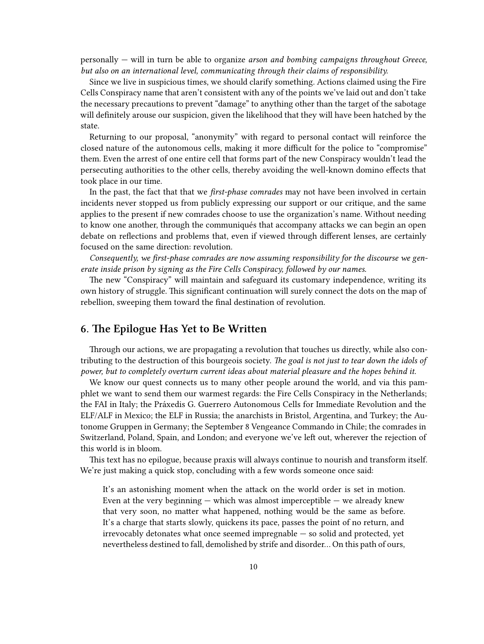personally — will in turn be able to organize *arson and bombing campaigns throughout Greece, but also on an international level, communicating through their claims of responsibility.*

Since we live in suspicious times, we should clarify something. Actions claimed using the Fire Cells Conspiracy name that aren't consistent with any of the points we've laid out and don't take the necessary precautions to prevent "damage" to anything other than the target of the sabotage will definitely arouse our suspicion, given the likelihood that they will have been hatched by the state.

Returning to our proposal, "anonymity" with regard to personal contact will reinforce the closed nature of the autonomous cells, making it more difficult for the police to "compromise" them. Even the arrest of one entire cell that forms part of the new Conspiracy wouldn't lead the persecuting authorities to the other cells, thereby avoiding the well-known domino effects that took place in our time.

In the past, the fact that that we *first-phase comrades* may not have been involved in certain incidents never stopped us from publicly expressing our support or our critique, and the same applies to the present if new comrades choose to use the organization's name. Without needing to know one another, through the communiqués that accompany attacks we can begin an open debate on reflections and problems that, even if viewed through different lenses, are certainly focused on the same direction: revolution.

*Consequently, we first-phase comrades are now assuming responsibility for the discourse we generate inside prison by signing as the Fire Cells Conspiracy, followed by our names.*

The new "Conspiracy" will maintain and safeguard its customary independence, writing its own history of struggle. This significant continuation will surely connect the dots on the map of rebellion, sweeping them toward the final destination of revolution.

### <span id="page-9-0"></span>**6. The Epilogue Has Yet to Be Written**

Through our actions, we are propagating a revolution that touches us directly, while also contributing to the destruction of this bourgeois society. *The goal is not just to tear down the idols of power, but to completely overturn current ideas about material pleasure and the hopes behind it.*

We know our quest connects us to many other people around the world, and via this pamphlet we want to send them our warmest regards: the Fire Cells Conspiracy in the Netherlands; the FAI in Italy; the Práxedis G. Guerrero Autonomous Cells for Immediate Revolution and the ELF/ALF in Mexico; the ELF in Russia; the anarchists in Bristol, Argentina, and Turkey; the Autonome Gruppen in Germany; the September 8 Vengeance Commando in Chile; the comrades in Switzerland, Poland, Spain, and London; and everyone we've left out, wherever the rejection of this world is in bloom.

This text has no epilogue, because praxis will always continue to nourish and transform itself. We're just making a quick stop, concluding with a few words someone once said:

It's an astonishing moment when the attack on the world order is set in motion. Even at the very beginning  $-$  which was almost imperceptible  $-$  we already knew that very soon, no matter what happened, nothing would be the same as before. It's a charge that starts slowly, quickens its pace, passes the point of no return, and irrevocably detonates what once seemed impregnable — so solid and protected, yet nevertheless destined to fall, demolished by strife and disorder… On this path of ours,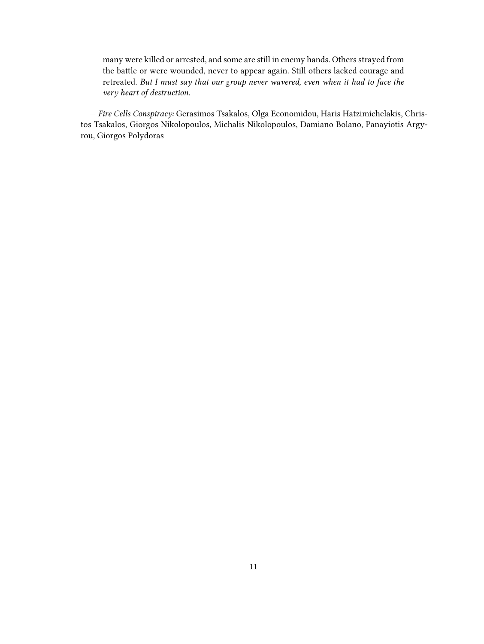many were killed or arrested, and some are still in enemy hands. Others strayed from the battle or were wounded, never to appear again. Still others lacked courage and retreated. *But I must say that our group never wavered, even when it had to face the very heart of destruction.*

— *Fire Cells Conspiracy:* Gerasimos Tsakalos, Olga Economidou, Haris Hatzimichelakis, Christos Tsakalos, Giorgos Nikolopoulos, Michalis Nikolopoulos, Damiano Bolano, Panayiotis Argyrou, Giorgos Polydoras